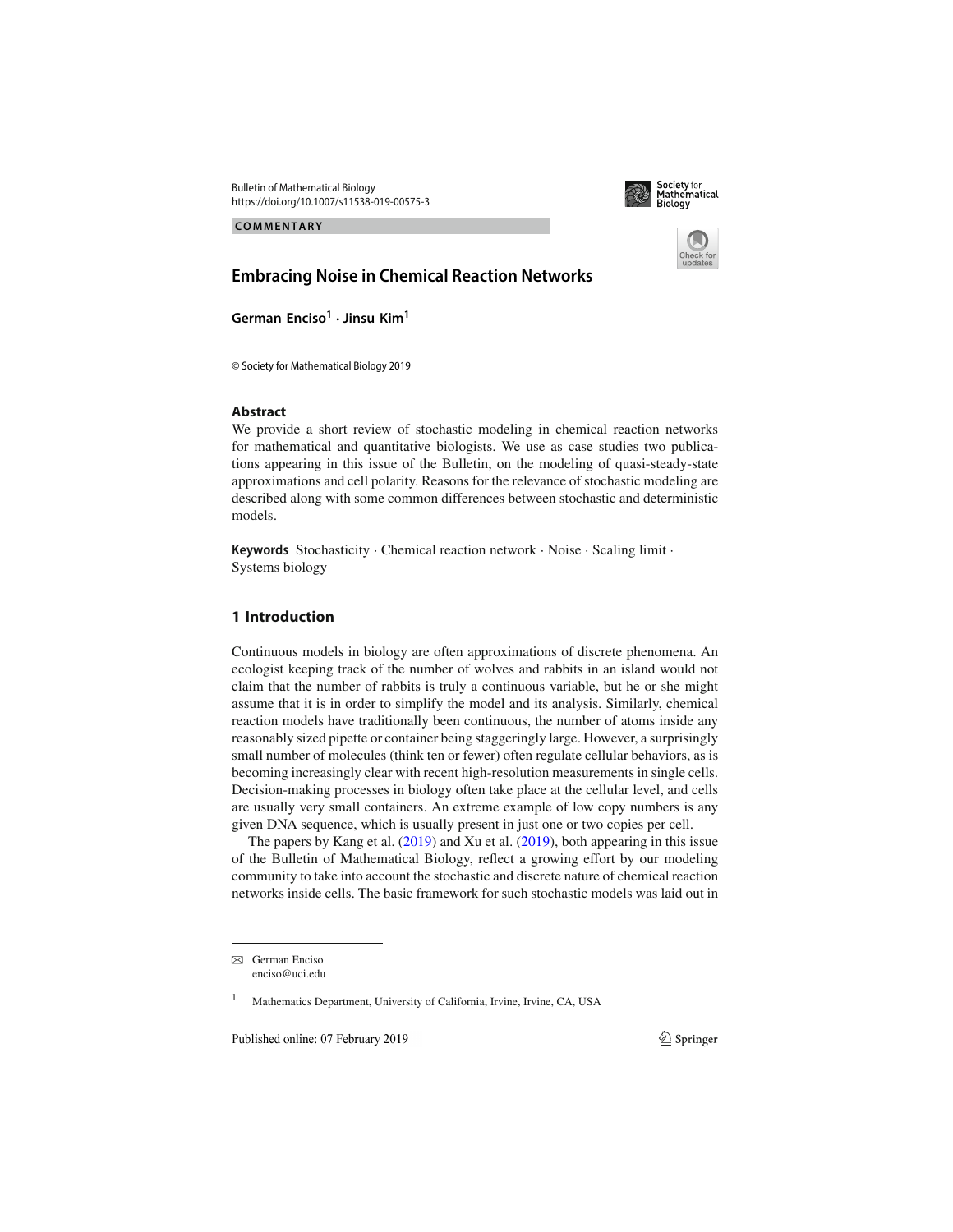Bulletin of Mathematical Biology https://doi.org/10.1007/s11538-019-00575-3



**COMMENTARY**



# **Embracing Noise in Chemical Reaction Networks**

**German Enciso<sup>1</sup>** · **Jinsu Kim1**

© Society for Mathematical Biology 2019

## **Abstract**

We provide a short review of stochastic modeling in chemical reaction networks for mathematical and quantitative biologists. We use as case studies two publications appearing in this issue of the Bulletin, on the modeling of quasi-steady-state approximations and cell polarity. Reasons for the relevance of stochastic modeling are described along with some common differences between stochastic and deterministic models.

**Keywords** Stochasticity · Chemical reaction network · Noise · Scaling limit · Systems biology

# **1 Introduction**

Continuous models in biology are often approximations of discrete phenomena. An ecologist keeping track of the number of wolves and rabbits in an island would not claim that the number of rabbits is truly a continuous variable, but he or she might assume that it is in order to simplify the model and its analysis. Similarly, chemical reaction models have traditionally been continuous, the number of atoms inside any reasonably sized pipette or container being staggeringly large. However, a surprisingly small number of molecules (think ten or fewer) often regulate cellular behaviors, as is becoming increasingly clear with recent high-resolution measurements in single cells. Decision-making processes in biology often take place at the cellular level, and cells are usually very small containers. An extreme example of low copy numbers is any given DNA sequence, which is usually present in just one or two copies per cell.

The papers by Kang et al. (2019) and Xu et al. (2019), both appearing in this issue of the Bulletin of Mathematical Biology, reflect a growing effort by our modeling community to take into account the stochastic and discrete nature of chemical reaction networks inside cells. The basic framework for such stochastic models was laid out in

Published online: 07 February 2019

 $\boxtimes$  German Enciso enciso@uci.edu

<sup>1</sup> Mathematics Department, University of California, Irvine, Irvine, CA, USA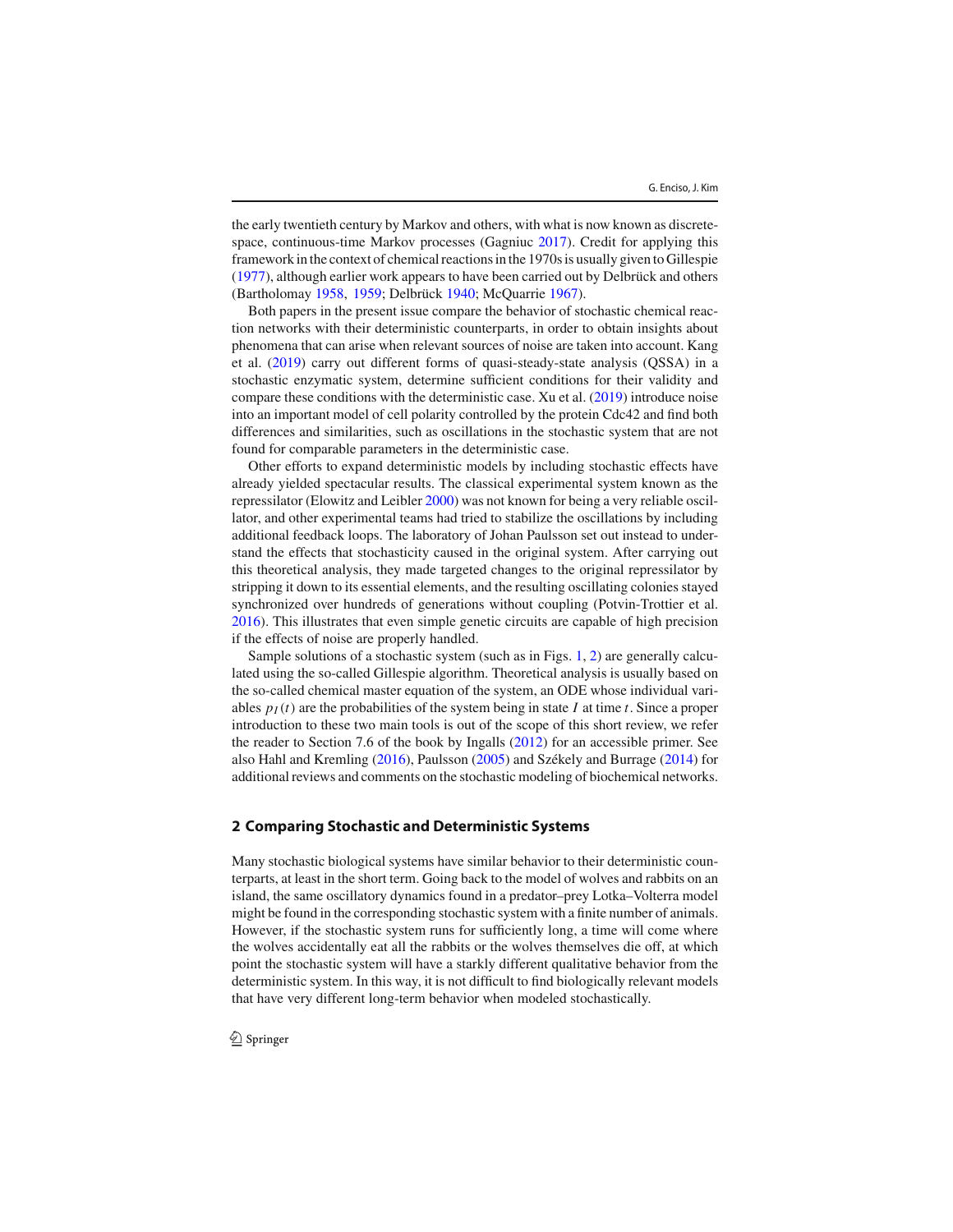the early twentieth century by Markov and others, with what is now known as discretespace, continuous-time Markov processes (Gagniuc 2017). Credit for applying this framework in the context of chemical reactions in the 1970s is usually given to Gillespie (1977), although earlier work appears to have been carried out by Delbrück and others (Bartholomay 1958, 1959; Delbrück 1940; McQuarrie 1967).

Both papers in the present issue compare the behavior of stochastic chemical reaction networks with their deterministic counterparts, in order to obtain insights about phenomena that can arise when relevant sources of noise are taken into account. Kang et al. (2019) carry out different forms of quasi-steady-state analysis (QSSA) in a stochastic enzymatic system, determine sufficient conditions for their validity and compare these conditions with the deterministic case. Xu et al. (2019) introduce noise into an important model of cell polarity controlled by the protein Cdc42 and find both differences and similarities, such as oscillations in the stochastic system that are not found for comparable parameters in the deterministic case.

Other efforts to expand deterministic models by including stochastic effects have already yielded spectacular results. The classical experimental system known as the repressilator (Elowitz and Leibler 2000) was not known for being a very reliable oscillator, and other experimental teams had tried to stabilize the oscillations by including additional feedback loops. The laboratory of Johan Paulsson set out instead to understand the effects that stochasticity caused in the original system. After carrying out this theoretical analysis, they made targeted changes to the original repressilator by stripping it down to its essential elements, and the resulting oscillating colonies stayed synchronized over hundreds of generations without coupling (Potvin-Trottier et al. 2016). This illustrates that even simple genetic circuits are capable of high precision if the effects of noise are properly handled.

Sample solutions of a stochastic system (such as in Figs. 1, 2) are generally calculated using the so-called Gillespie algorithm. Theoretical analysis is usually based on the so-called chemical master equation of the system, an ODE whose individual variables  $p_I(t)$  are the probabilities of the system being in state *I* at time *t*. Since a proper introduction to these two main tools is out of the scope of this short review, we refer the reader to Section 7.6 of the book by Ingalls (2012) for an accessible primer. See also Hahl and Kremling (2016), Paulsson (2005) and Székely and Burrage (2014) for additional reviews and comments on the stochastic modeling of biochemical networks.

#### **2 Comparing Stochastic and Deterministic Systems**

Many stochastic biological systems have similar behavior to their deterministic counterparts, at least in the short term. Going back to the model of wolves and rabbits on an island, the same oscillatory dynamics found in a predator–prey Lotka–Volterra model might be found in the corresponding stochastic system with a finite number of animals. However, if the stochastic system runs for sufficiently long, a time will come where the wolves accidentally eat all the rabbits or the wolves themselves die off, at which point the stochastic system will have a starkly different qualitative behavior from the deterministic system. In this way, it is not difficult to find biologically relevant models that have very different long-term behavior when modeled stochastically.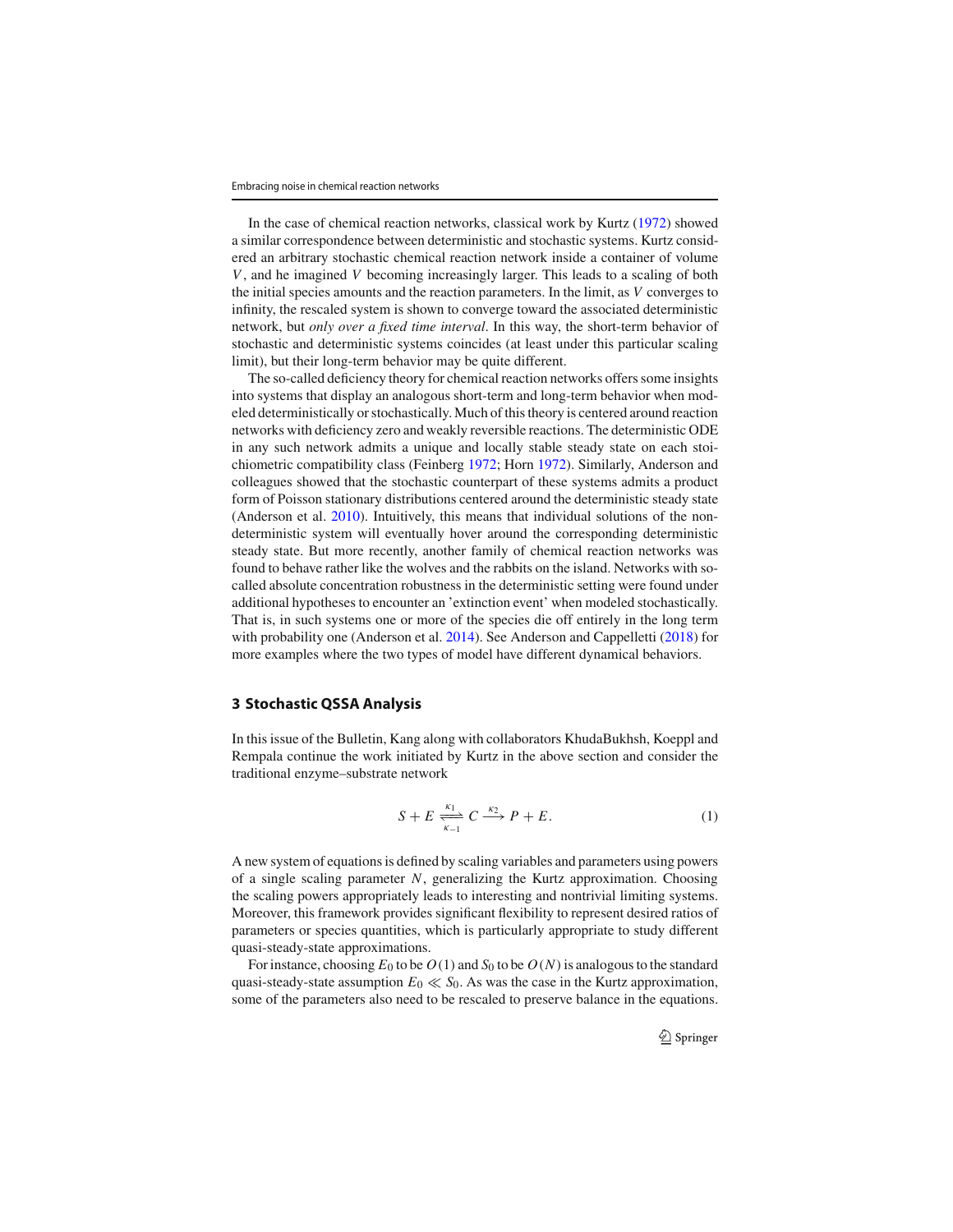In the case of chemical reaction networks, classical work by Kurtz (1972) showed a similar correspondence between deterministic and stochastic systems. Kurtz considered an arbitrary stochastic chemical reaction network inside a container of volume *V*, and he imagined *V* becoming increasingly larger. This leads to a scaling of both the initial species amounts and the reaction parameters. In the limit, as *V* converges to infinity, the rescaled system is shown to converge toward the associated deterministic network, but *only over a fixed time interval*. In this way, the short-term behavior of stochastic and deterministic systems coincides (at least under this particular scaling limit), but their long-term behavior may be quite different.

The so-called deficiency theory for chemical reaction networks offers some insights into systems that display an analogous short-term and long-term behavior when modeled deterministically or stochastically. Much of this theory is centered around reaction networks with deficiency zero and weakly reversible reactions. The deterministic ODE in any such network admits a unique and locally stable steady state on each stoichiometric compatibility class (Feinberg 1972; Horn 1972). Similarly, Anderson and colleagues showed that the stochastic counterpart of these systems admits a product form of Poisson stationary distributions centered around the deterministic steady state (Anderson et al. 2010). Intuitively, this means that individual solutions of the nondeterministic system will eventually hover around the corresponding deterministic steady state. But more recently, another family of chemical reaction networks was found to behave rather like the wolves and the rabbits on the island. Networks with socalled absolute concentration robustness in the deterministic setting were found under additional hypotheses to encounter an 'extinction event' when modeled stochastically. That is, in such systems one or more of the species die off entirely in the long term with probability one (Anderson et al. 2014). See Anderson and Cappelletti (2018) for more examples where the two types of model have different dynamical behaviors.

## **3 Stochastic QSSA Analysis**

In this issue of the Bulletin, Kang along with collaborators KhudaBukhsh, Koeppl and Rempala continue the work initiated by Kurtz in the above section and consider the traditional enzyme–substrate network

$$
S + E \xrightarrow[k-1]{k_1} C \xrightarrow{k_2} P + E. \tag{1}
$$

A new system of equations is defined by scaling variables and parameters using powers of a single scaling parameter *N*, generalizing the Kurtz approximation. Choosing the scaling powers appropriately leads to interesting and nontrivial limiting systems. Moreover, this framework provides significant flexibility to represent desired ratios of parameters or species quantities, which is particularly appropriate to study different quasi-steady-state approximations.

For instance, choosing  $E_0$  to be  $O(1)$  and  $S_0$  to be  $O(N)$  is analogous to the standard quasi-steady-state assumption  $E_0 \ll S_0$ . As was the case in the Kurtz approximation, some of the parameters also need to be rescaled to preserve balance in the equations.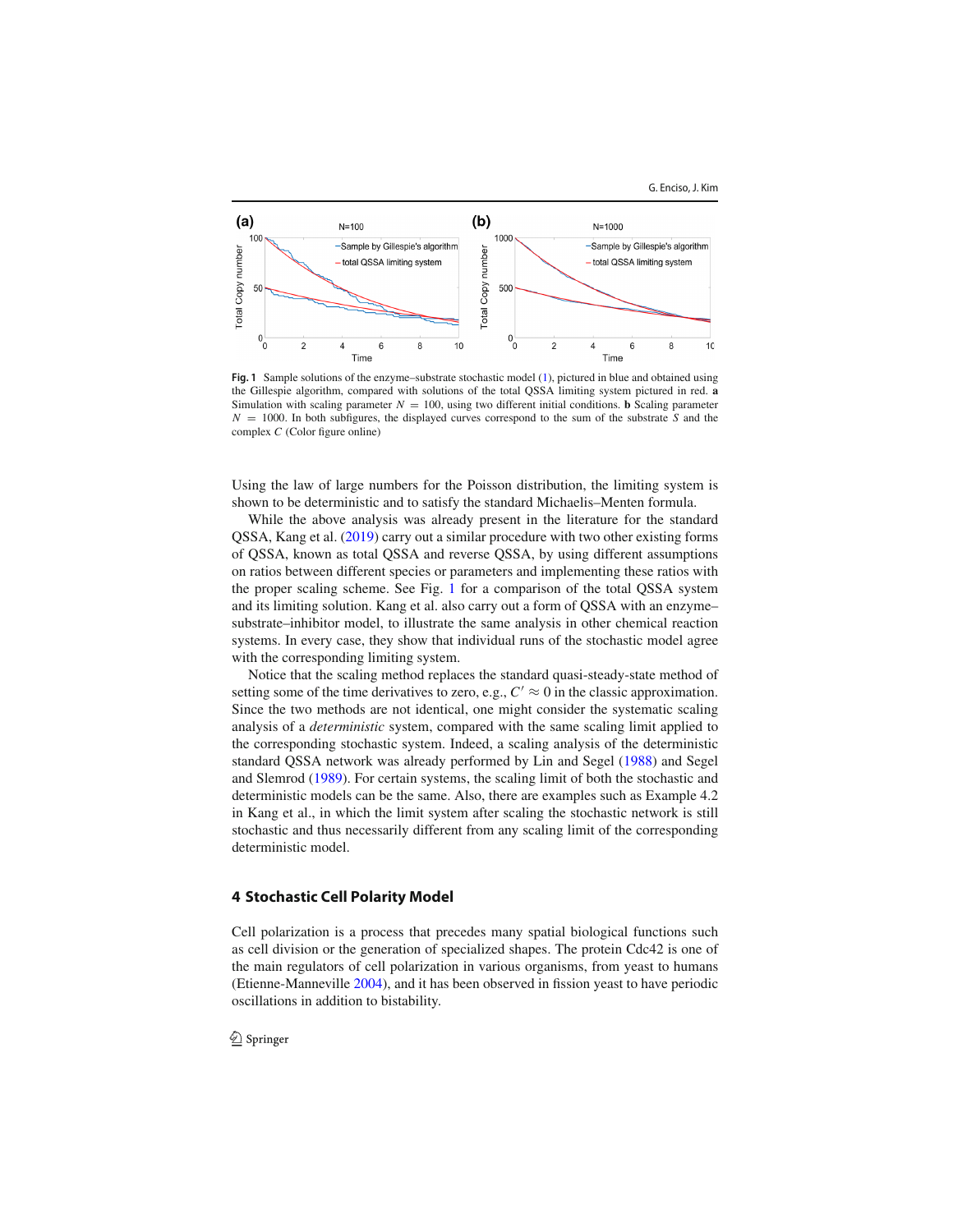

**Fig. 1** Sample solutions of the enzyme–substrate stochastic model (1), pictured in blue and obtained using the Gillespie algorithm, compared with solutions of the total QSSA limiting system pictured in red. **a** Simulation with scaling parameter  $N = 100$ , using two different initial conditions. **b** Scaling parameter *N* = 1000. In both subfigures, the displayed curves correspond to the sum of the substrate *S* and the complex *C* (Color figure online)

Using the law of large numbers for the Poisson distribution, the limiting system is shown to be deterministic and to satisfy the standard Michaelis–Menten formula.

While the above analysis was already present in the literature for the standard QSSA, Kang et al. (2019) carry out a similar procedure with two other existing forms of QSSA, known as total QSSA and reverse QSSA, by using different assumptions on ratios between different species or parameters and implementing these ratios with the proper scaling scheme. See Fig. 1 for a comparison of the total QSSA system and its limiting solution. Kang et al. also carry out a form of QSSA with an enzyme– substrate–inhibitor model, to illustrate the same analysis in other chemical reaction systems. In every case, they show that individual runs of the stochastic model agree with the corresponding limiting system.

Notice that the scaling method replaces the standard quasi-steady-state method of setting some of the time derivatives to zero, e.g.,  $C' \approx 0$  in the classic approximation. Since the two methods are not identical, one might consider the systematic scaling analysis of a *deterministic* system, compared with the same scaling limit applied to the corresponding stochastic system. Indeed, a scaling analysis of the deterministic standard QSSA network was already performed by Lin and Segel (1988) and Segel and Slemrod (1989). For certain systems, the scaling limit of both the stochastic and deterministic models can be the same. Also, there are examples such as Example 4.2 in Kang et al., in which the limit system after scaling the stochastic network is still stochastic and thus necessarily different from any scaling limit of the corresponding deterministic model.

# **4 Stochastic Cell Polarity Model**

Cell polarization is a process that precedes many spatial biological functions such as cell division or the generation of specialized shapes. The protein Cdc42 is one of the main regulators of cell polarization in various organisms, from yeast to humans (Etienne-Manneville 2004), and it has been observed in fission yeast to have periodic oscillations in addition to bistability.

 $\bigcirc$  Springer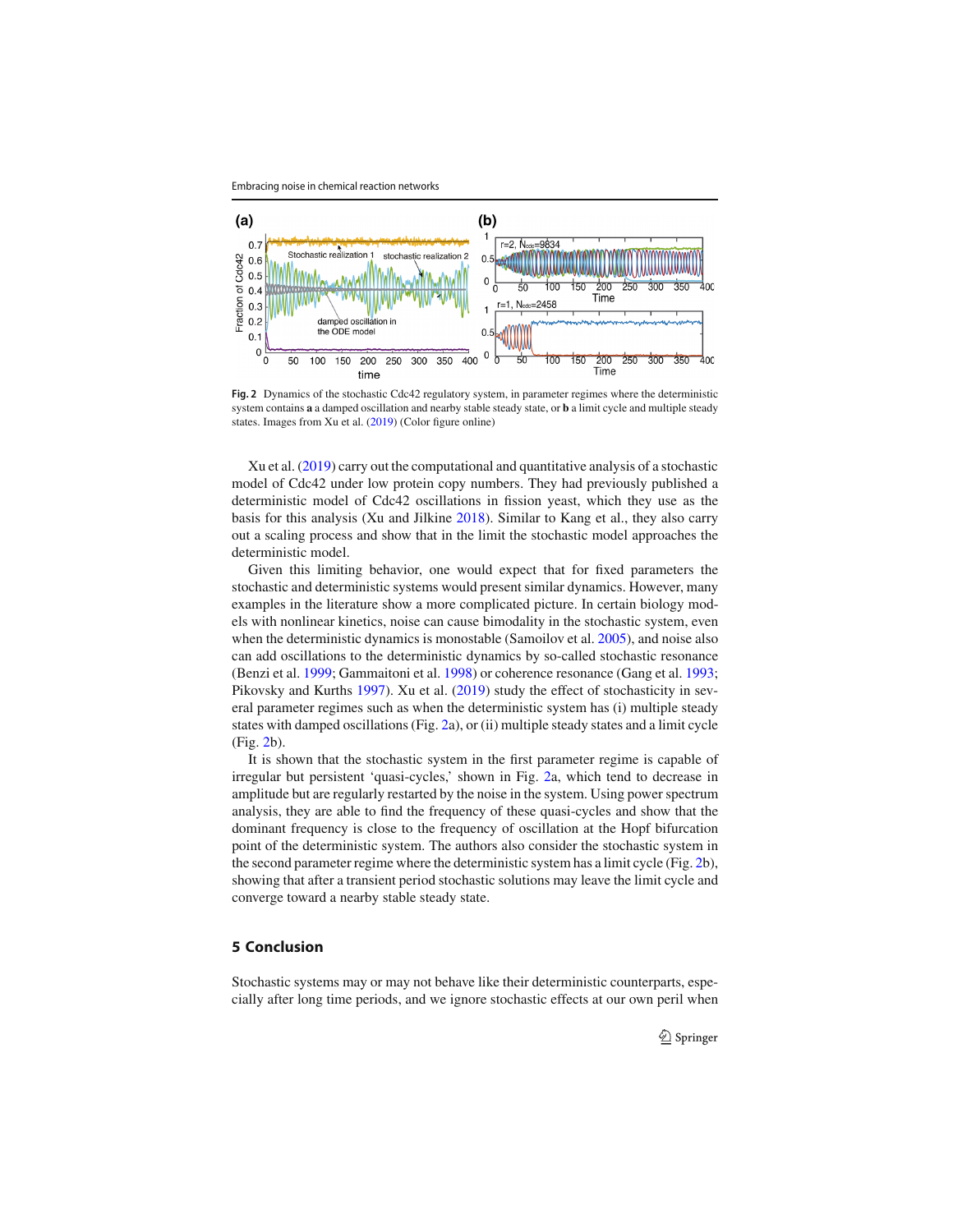

**Fig. 2** Dynamics of the stochastic Cdc42 regulatory system, in parameter regimes where the deterministic system contains **a** a damped oscillation and nearby stable steady state, or **b** a limit cycle and multiple steady states. Images from Xu et al. (2019) (Color figure online)

Xu et al. (2019) carry out the computational and quantitative analysis of a stochastic model of Cdc42 under low protein copy numbers. They had previously published a deterministic model of Cdc42 oscillations in fission yeast, which they use as the basis for this analysis (Xu and Jilkine 2018). Similar to Kang et al., they also carry out a scaling process and show that in the limit the stochastic model approaches the deterministic model.

Given this limiting behavior, one would expect that for fixed parameters the stochastic and deterministic systems would present similar dynamics. However, many examples in the literature show a more complicated picture. In certain biology models with nonlinear kinetics, noise can cause bimodality in the stochastic system, even when the deterministic dynamics is monostable (Samoilov et al. 2005), and noise also can add oscillations to the deterministic dynamics by so-called stochastic resonance (Benzi et al. 1999; Gammaitoni et al. 1998) or coherence resonance (Gang et al. 1993; Pikovsky and Kurths 1997). Xu et al. (2019) study the effect of stochasticity in several parameter regimes such as when the deterministic system has (i) multiple steady states with damped oscillations (Fig. 2a), or (ii) multiple steady states and a limit cycle (Fig. 2b).

It is shown that the stochastic system in the first parameter regime is capable of irregular but persistent 'quasi-cycles,' shown in Fig. 2a, which tend to decrease in amplitude but are regularly restarted by the noise in the system. Using power spectrum analysis, they are able to find the frequency of these quasi-cycles and show that the dominant frequency is close to the frequency of oscillation at the Hopf bifurcation point of the deterministic system. The authors also consider the stochastic system in the second parameter regime where the deterministic system has a limit cycle (Fig. 2b), showing that after a transient period stochastic solutions may leave the limit cycle and converge toward a nearby stable steady state.

### **5 Conclusion**

Stochastic systems may or may not behave like their deterministic counterparts, especially after long time periods, and we ignore stochastic effects at our own peril when

 $\mathcal{L}$  Springer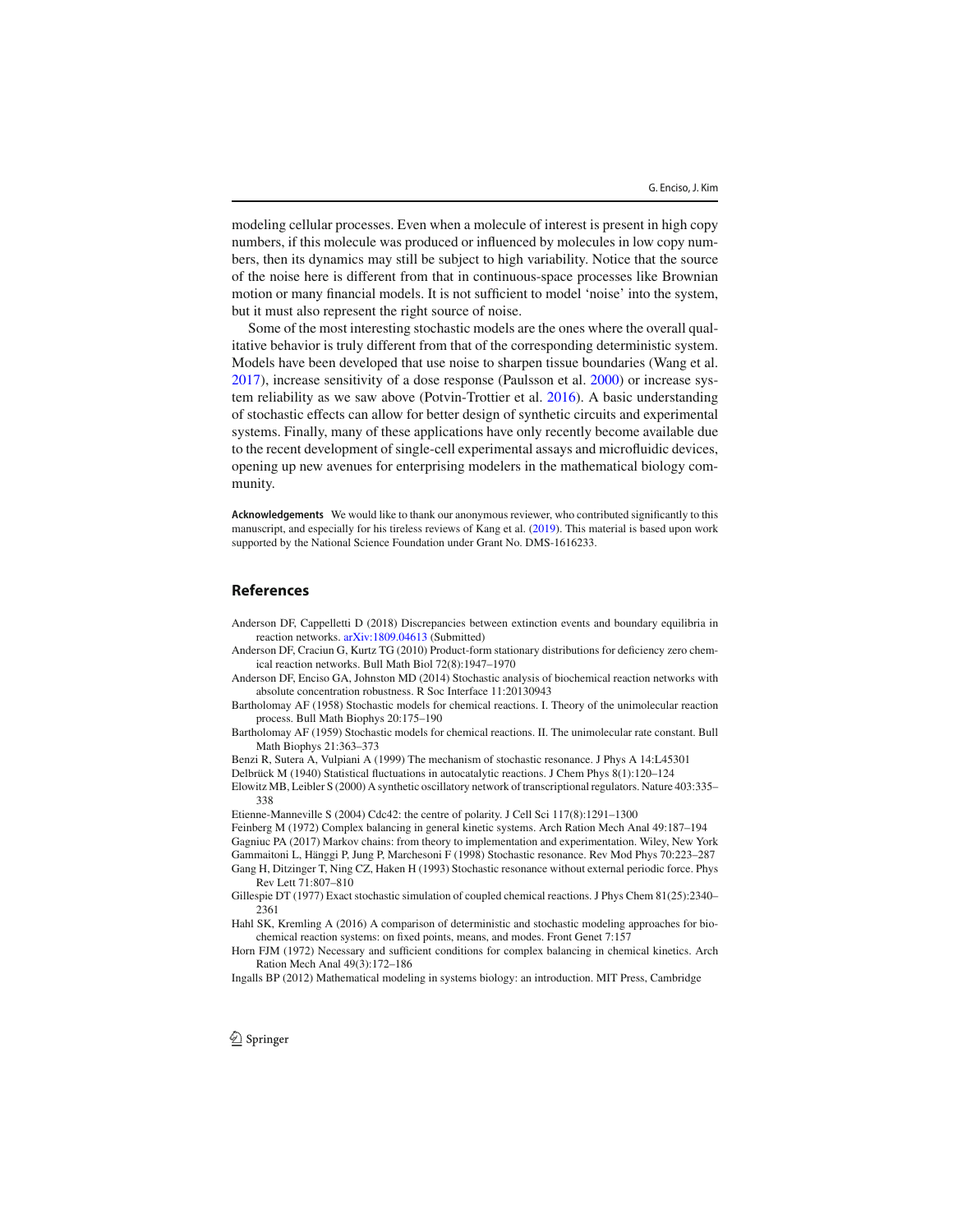modeling cellular processes. Even when a molecule of interest is present in high copy numbers, if this molecule was produced or influenced by molecules in low copy numbers, then its dynamics may still be subject to high variability. Notice that the source of the noise here is different from that in continuous-space processes like Brownian motion or many financial models. It is not sufficient to model 'noise' into the system, but it must also represent the right source of noise.

Some of the most interesting stochastic models are the ones where the overall qualitative behavior is truly different from that of the corresponding deterministic system. Models have been developed that use noise to sharpen tissue boundaries (Wang et al. 2017), increase sensitivity of a dose response (Paulsson et al. 2000) or increase system reliability as we saw above (Potvin-Trottier et al. 2016). A basic understanding of stochastic effects can allow for better design of synthetic circuits and experimental systems. Finally, many of these applications have only recently become available due to the recent development of single-cell experimental assays and microfluidic devices, opening up new avenues for enterprising modelers in the mathematical biology community.

**Acknowledgements** We would like to thank our anonymous reviewer, who contributed significantly to this manuscript, and especially for his tireless reviews of Kang et al. (2019). This material is based upon work supported by the National Science Foundation under Grant No. DMS-1616233.

## **References**

Anderson DF, Cappelletti D (2018) Discrepancies between extinction events and boundary equilibria in reaction networks. [arXiv:1809.04613](http://arxiv.org/abs/1809.04613) (Submitted)

Anderson DF, Craciun G, Kurtz TG (2010) Product-form stationary distributions for deficiency zero chemical reaction networks. Bull Math Biol 72(8):1947–1970

Anderson DF, Enciso GA, Johnston MD (2014) Stochastic analysis of biochemical reaction networks with absolute concentration robustness. R Soc Interface 11:20130943

Bartholomay AF (1958) Stochastic models for chemical reactions. I. Theory of the unimolecular reaction process. Bull Math Biophys 20:175–190

Bartholomay AF (1959) Stochastic models for chemical reactions. II. The unimolecular rate constant. Bull Math Biophys 21:363–373

Benzi R, Sutera A, Vulpiani A (1999) The mechanism of stochastic resonance. J Phys A 14:L45301

Delbrück M (1940) Statistical fluctuations in autocatalytic reactions. J Chem Phys 8(1):120–124

Elowitz MB, Leibler S (2000) A synthetic oscillatory network of transcriptional regulators. Nature 403:335– 338

Etienne-Manneville S (2004) Cdc42: the centre of polarity. J Cell Sci 117(8):1291–1300

Feinberg M (1972) Complex balancing in general kinetic systems. Arch Ration Mech Anal 49:187–194 Gagniuc PA (2017) Markov chains: from theory to implementation and experimentation. Wiley, New York Gammaitoni L, Hänggi P, Jung P, Marchesoni F (1998) Stochastic resonance. Rev Mod Phys 70:223–287 Gang H, Ditzinger T, Ning CZ, Haken H (1993) Stochastic resonance without external periodic force. Phys Rev Lett 71:807–810

Gillespie DT (1977) Exact stochastic simulation of coupled chemical reactions. J Phys Chem 81(25):2340– 2361

Hahl SK, Kremling A (2016) A comparison of deterministic and stochastic modeling approaches for biochemical reaction systems: on fixed points, means, and modes. Front Genet 7:157

Horn FJM (1972) Necessary and sufficient conditions for complex balancing in chemical kinetics. Arch Ration Mech Anal 49(3):172–186

Ingalls BP (2012) Mathematical modeling in systems biology: an introduction. MIT Press, Cambridge